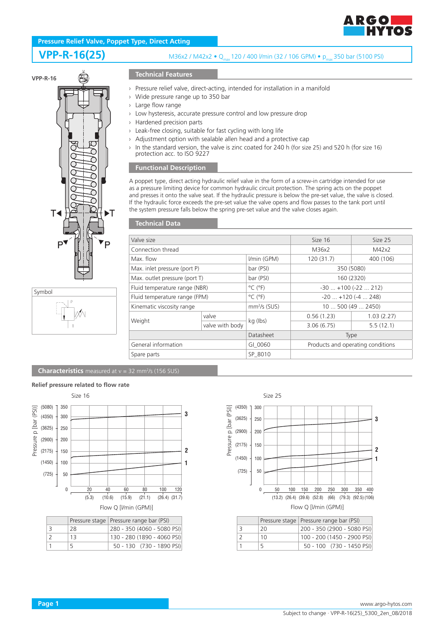

# **Pressure Relief Valve, Poppet Type, Direct Acting**

# **VPP-R-16(25)**

### M36x2 / M42x2 • Q<sub>max</sub> 120 / 400 l/min (32 / 106 GPM) • p<sub>max</sub> 350 bar (5100 PSI)



### **Technical Features**

- › Pressure relief valve, direct-acting, intended for installation in a manifold
- › Wide pressure range up to 350 bar
- › Large flow range
- › Low hysteresis, accurate pressure control and low pressure drop
- › Hardened precision parts
- › Leak-free closing, suitable for fast cycling with long life
- › Adjustment option with sealable allen head and a protective cap
- › In the standard version, the valve is zinc coated for 240 h (for size 25) and 520 h (for size 16) protection acc. to ISO 9227

#### **Functional Description**

A poppet type, direct acting hydraulic relief valve in the form of a screw-in cartridge intended for use as a pressure limiting device for common hydraulic circuit protection. The spring acts on the poppet and presses it onto the valve seat. If the hydraulic pressure is below the pre-set value, the valve is closed. If the hydraulic force exceeds the pre-set value the valve opens and flow passes to the tank port until the system pressure falls below the spring pre-set value and the valve closes again.

#### **Technical Data**

| Valve size                    |                 | Size 16                      | Size 25                           |            |  |
|-------------------------------|-----------------|------------------------------|-----------------------------------|------------|--|
| Connection thread             |                 |                              | M36x2                             | M42x2      |  |
| Max. flow                     |                 | I/min (GPM)                  | 120(31.7)                         | 400 (106)  |  |
| Max. inlet pressure (port P)  |                 | bar (PSI)                    | 350 (5080)                        |            |  |
| Max. outlet pressure (port T) |                 | bar (PSI)                    | 160 (2320)                        |            |  |
| Fluid temperature range (NBR) |                 | $^{\circ}$ C ( $^{\circ}$ F) | $-30$ $+100$ ( $-22$ 212)         |            |  |
| Fluid temperature range (FPM) |                 | $^{\circ}$ C ( $^{\circ}$ F) | $-20$ $+120$ ( $-4$ 248)          |            |  |
| Kinematic viscosity range     |                 | $mm2/s$ (SUS)                | 10500(492450)                     |            |  |
|                               | valve           |                              | 0.56(1.23)                        | 1.03(2.27) |  |
| Weight                        | valve with body | kg (lbs)                     | 3.06(6.75)                        | 5.5(12.1)  |  |
|                               |                 | Datasheet                    | Type                              |            |  |
| General information           |                 | GI 0060                      | Products and operating conditions |            |  |
| Spare parts                   |                 | SP 8010                      |                                   |            |  |
|                               |                 |                              |                                   |            |  |

**Characteristics** measured at v = 32 mm<sup>2</sup>/s (156 SUS)

#### **Relief pressure related to flow rate** Size 16 Size 25 (5080) 350 Pressure p [bar (PSI)] Pressure p [bar (PSI)] **3** <sup>300</sup> (4350) (3625) 250 (2900) 200 **2** (2175) 150 (1450) 100 **1** (725) 50 0 20 40 60 80 100 120 (5.3) (10.6) (15.9) (21.1) (26.4) (31.7) Flow Q [l/min (GPM)] Pressure stage Pressure range bar (PSI) 3 28 280 - 350 (4060 - 5080 PSI)

|               |    | THESSUITE STAYE   I TESSUITE TAILYE DAILY IN |
|---------------|----|----------------------------------------------|
| 3             | 28 | 280 - 350 (4060 - 5080 PSI)                  |
| $\mathcal{L}$ | 13 | 130 - 280 (1890 - 4060 PSI)                  |
|               |    | 50 - 130 (730 - 1890 PSI)                    |



|               |    | Pressure stage   Pressure range bar (PSI) |
|---------------|----|-------------------------------------------|
| 3             | 20 | 200 - 350 (2900 - 5080 PSI)               |
| $\mathcal{L}$ | 10 | 100 - 200 (1450 - 2900 PSI)               |
|               | 5  | 50 - 100 (730 - 1450 PSI)                 |